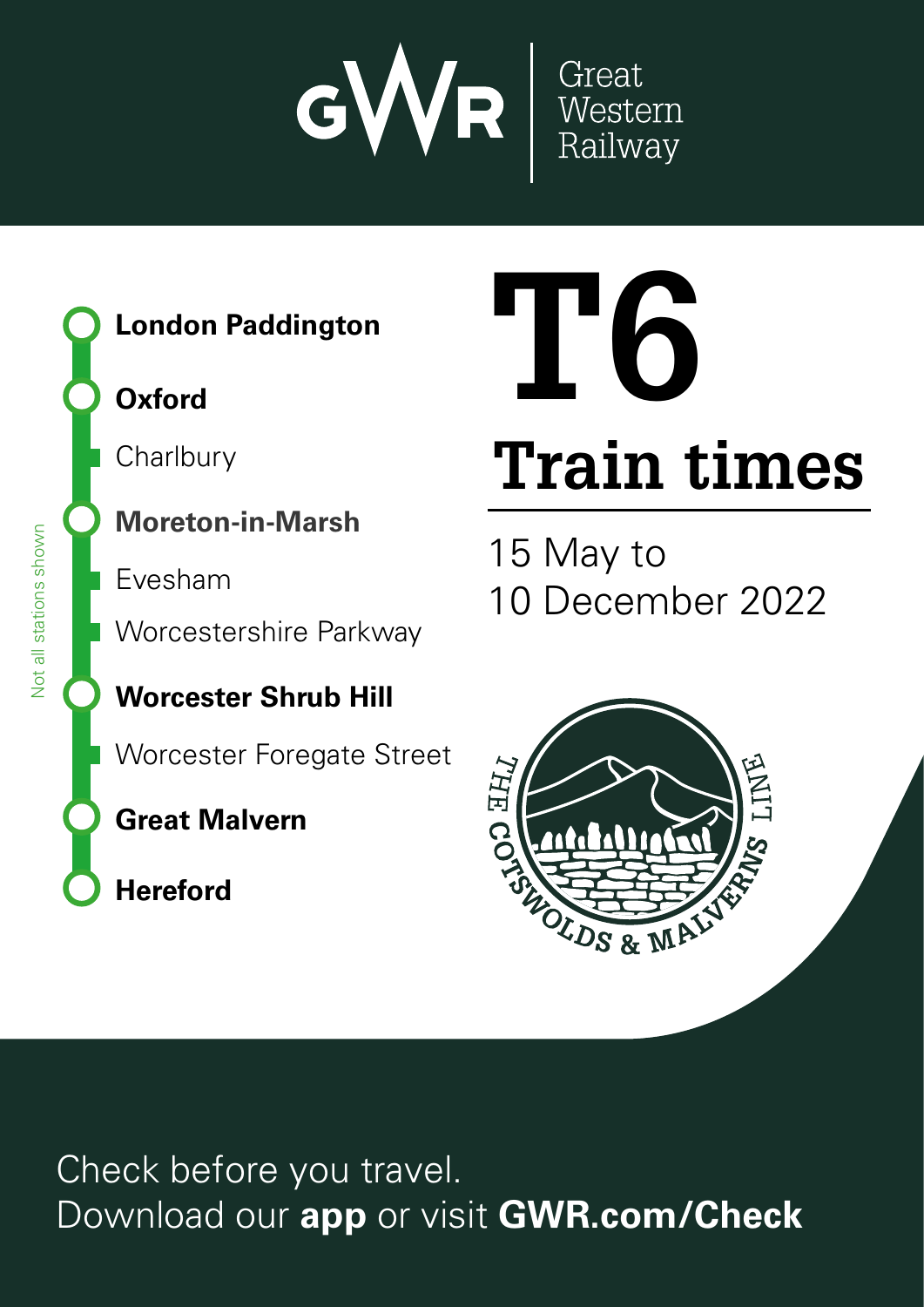



# **Oxford**

**Charlbury** 

# **Moreton-in-Marsh**

**E**vesham

**Worcestershire Parkway** 

# **Worcester Shrub Hill**

Worcester Foregate Street

# **Great Malvern**

**Hereford**

# **Train times T6**

15 May to 10 December 2022



Check before you travel. Download our **app** or visit **GWR.com/Check**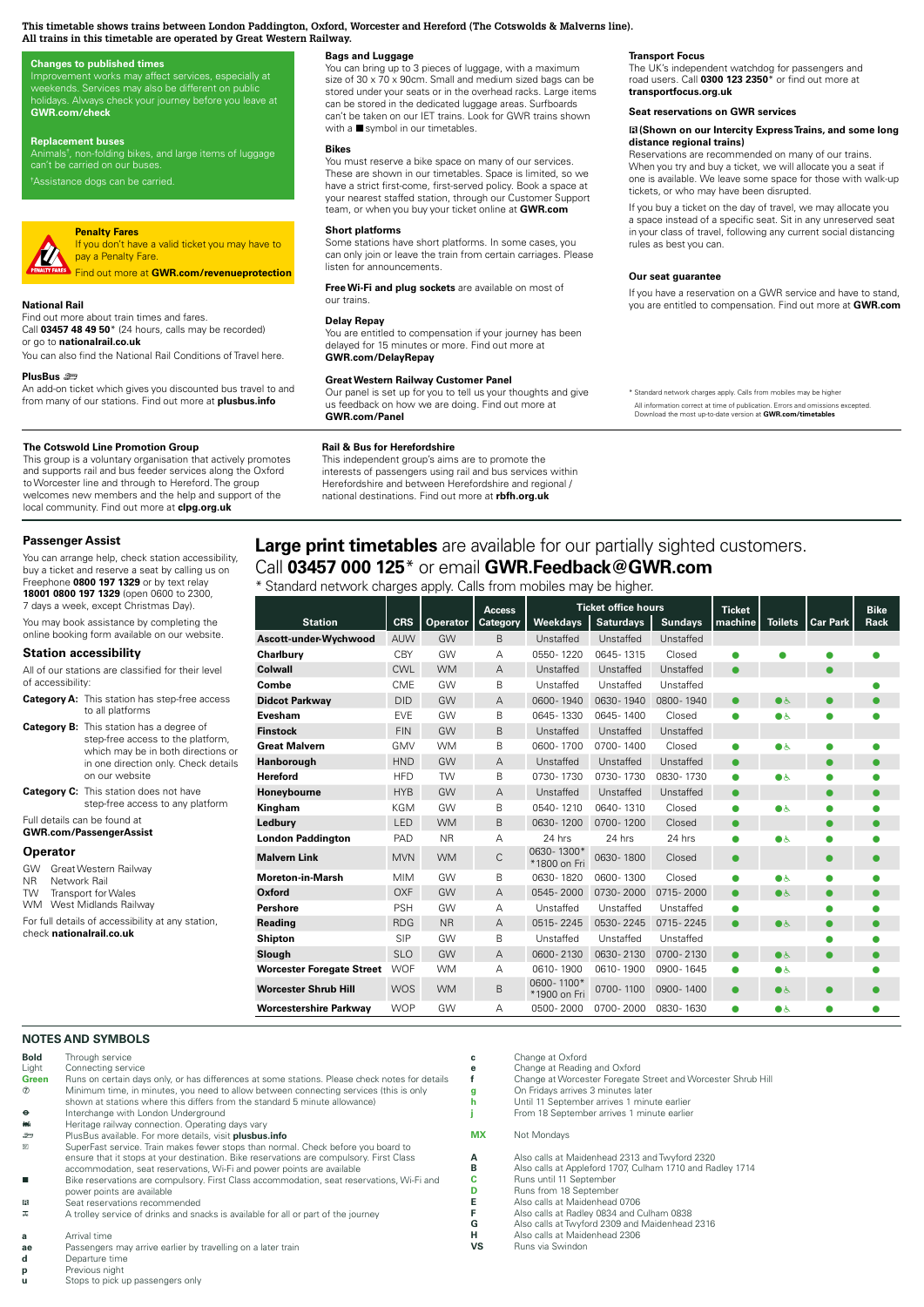#### This timetable shows trains between London Paddington, Oxford, Worcester and Hereford (The Cotswolds & Malverns line).<br>Always check at the community of the community of the community of the community of the content of the **All trains in this timetable are operated by Great Western Railway.** can be stored in the dedicated luggage areas. Surfboards

#### **Changes to published times**

Improvement works may affect services, especially at<br>weekends. Services may also be different on public<br>holidays. Always check your journey before you leave at **GWR.com/check** 

#### **Replacement buses**

Animals†, non-folding bikes, and large items of luggage<br>can't be carried on our buses. \*Assistance dogs can be carried.

# **Penalty Fares V**

If you don't have a valid ticket you may have to pay a Penalty Fare. **03457 000 125\***  train<br>fa

Find out more at **GWR.com/revenueprotection GWR.com/contact**

#### **National Rail**

Find out more about train times and fares. Call **03457 48 49 50**\* (24 hours, calls may be recorded) or go to **nationalrail.co.uk** It p. E. aniver. Alta international mobiles applicit charges application. The higher. ا **Company**<br>de **Download**<br>Download our app to purchase time<br>Download our and compute and and<br>ard<br>me<br>pu Don't miss out of the miss of the miss of the miss of the miss of the miss of the miss of the miss of the miss of the miss of the miss of the miss of the miss of the miss of the miss of the miss of the miss of the miss of

or go to **nationalrail.co.uk**<br>You can also find the National Rail Conditions of Travel here.

#### **PlusBus** ¬

An add-on ticket which gives you discounted bus travel to and from many of our stations. Find out more at **plusbus.info** re<br>o<br>blu in your App store<br>
and the App store<br>
and the App store  $\overline{a}$ hal<br>!s<br><del>F</del>ir

#### **The Cotswold Line Promotion Group**

This group is a voluntary organisation that actively promotes and supports rail and bus feeder services along the Oxford to Worcester line and through to Hereford. The group welcomes new members and the help and support of the local community. Find out more at **clpg.org.uk**

#### This independent group's aims are to promote the **Passenger Assist**

You can arrange help, check station accessibility,  $\overline{\phantom{a}}$  $\frac{1}{2}$  buy a ticket and reserve a seat by calling us on  $\overline{C}a$ national destinations. Find out more at **rbfh.org.uk** Freephone **0800 197 1329** or by text relay **18001 0800 197 1329** (open 0600 to 2300, 7 days a week, except Christmas Day).

You may book assistance by completing the online booking form available on our website.

# **Station accessibility**

| <b>Category A:</b> This station has step-free access |  |
|------------------------------------------------------|--|
| of accessibility:                                    |  |
| All of our stations are classified for their level   |  |

| to all platforms                                                                                                                                                                     |
|--------------------------------------------------------------------------------------------------------------------------------------------------------------------------------------|
| <b>Category B:</b> This station has a degree of<br>step-free access to the platform,<br>which may be in both directions or<br>in one direction only. Check details<br>on our website |

**Category C:** This station does not have step-free access to any platform

Full details can be found at

**GWR.com/PassengerAssist**

#### **Operator**

GW Great Western Railway<br>NR Network Rail

**NOTES AND SYMBOLS**

NR Network Rail

Transport for Wales

WM West Midlands Railway

For full details of accessibility at any station, check **nationalrail.co.uk**

# **Bags and Luggage**

You can bring up to 3 pieces of luggage, with a maximum size of 30 x 70 x 90cm. Small and medium sized bags can be size or Su x 70 x sucrif. Small and medium sized bags can be<br>stored under your seats or in the overhead racks. Large items can be stored in the dedicated luggage areas. Surfboards can't be taken on our IET trains. Look for GWR trains shown with a  $\blacksquare$  symbol in our timetables.

#### **Bikes**

**Bikes**<br>You must reserve a bike space on many of our services. These are shown in our timetables. Space is limited, so we have a strict first-come, first-served policy. Book a space at<br>your nearest staffed station, through our Customer Support team, or when you buy your ticket online at **GWR.com**

# **Short platforms**

Some stations have short platforms. In some cases, you Some stations have short platforms. In some cases, you can only join or leave the train from certain carriages. Please **listen for announcements.** --<br><sub>Ca</sub><br>Fr

#### **Delay Repay**

You are entitled to compensation if your journey has been delayed for 15 minutes or more. Find out more at **GWR.com/DelayRepay** in de an<br> **an<br>
ay**<br>
itle<br>
15<br> *I*D ol<br>**D**<br>de **The Cotswold Line Promotion Group**

## **Great Western Railway Customer Panel**

## **Rail & Bus for Herefordshire**

# **Transport Focus**

The UK's independent watchdog for passengers and **Bikes** road users. Call **0300 123 2350**\* or find out more at **transportfocus.org.uk** 

# Seat reservations on GWR services

#### $\boxtimes$  (Shown on our Intercity Express Trains, and some long **distance regional trains)**

**Reservations are recommended on many of our trains.** When you try and buy a ticket, we will allocate you a seat if can one is available. We leave some space for those with walk-up tickets, or who may have been disrupted.

If you buy a ticket on the day of travel, we may allocate you a space instead of a specific seat. Sit in any unreserved seat in your class of travel, following any current social distancing rules as best you can. a in ru<br> **C**<br>
If you as:<br>pe:<br>e<br>nti You are entitled to competent to compete the second to compete the second to compete the second to compete the

#### **Our seat guarantee**

If you have a reservation on a GWR service and have to stand, you are entitled to compensation. Find out more at **GWR.com**  $h$ a<br>Te anc<br>**ancor** 

# **Large print timetables** are available for our partially sighted customers.

| Stariuaru Hetwork Griatges apply. Cails from Hilobiles Hay be Highel. |  |  |  |
|-----------------------------------------------------------------------|--|--|--|
|                                                                       |  |  |  |

| protection                                |                                                                                                                                                                                                                                                                                                                                                         |            |           |               |                                                                                                                             |                            | Our seat guarantee                                                                                                                                                                                                 |               |                |                 |             |  |  |  |
|-------------------------------------------|---------------------------------------------------------------------------------------------------------------------------------------------------------------------------------------------------------------------------------------------------------------------------------------------------------------------------------------------------------|------------|-----------|---------------|-----------------------------------------------------------------------------------------------------------------------------|----------------------------|--------------------------------------------------------------------------------------------------------------------------------------------------------------------------------------------------------------------|---------------|----------------|-----------------|-------------|--|--|--|
|                                           | Free Wi-Fi and plug sockets are available on most of<br>our trains.                                                                                                                                                                                                                                                                                     |            |           |               | If you have a reservation on a GWR service and have to stand,<br>you are entitled to compensation. Find out more at GWR.com |                            |                                                                                                                                                                                                                    |               |                |                 |             |  |  |  |
| rded)                                     | <b>Delay Repay</b><br>You are entitled to compensation if your journey has been<br>delayed for 15 minutes or more. Find out more at                                                                                                                                                                                                                     |            |           |               |                                                                                                                             |                            |                                                                                                                                                                                                                    |               |                |                 |             |  |  |  |
| avel here.                                | <b>GWR.com/DelayRepay</b>                                                                                                                                                                                                                                                                                                                               |            |           |               |                                                                                                                             |                            |                                                                                                                                                                                                                    |               |                |                 |             |  |  |  |
| ravel to and<br>us.info                   | <b>Great Western Railway Customer Panel</b><br>us feedback on how we are doing. Find out more at<br><b>GWR.com/Panel</b>                                                                                                                                                                                                                                |            |           |               | Our panel is set up for you to tell us your thoughts and give                                                               |                            | * Standard network charges apply. Calls from mobiles may be higher<br>All information correct at time of publication. Errors and omissions excepted.<br>Download the most up-to-date version at GWR.com/timetables |               |                |                 |             |  |  |  |
| promotes<br>ie Oxford<br>quc<br>rt of the | <b>Rail &amp; Bus for Herefordshire</b><br>This independent group's aims are to promote the<br>interests of passengers using rail and bus services within<br>Herefordshire and between Herefordshire and regional /<br>national destinations. Find out more at rbfh.org.uk<br>Large print timetables are available for our partially sighted customers. |            |           |               |                                                                                                                             |                            |                                                                                                                                                                                                                    |               |                |                 |             |  |  |  |
|                                           | Call 03457 000 125 $*$ or email GWR.Feedback@GWR.com                                                                                                                                                                                                                                                                                                    |            |           |               |                                                                                                                             |                            |                                                                                                                                                                                                                    |               |                |                 |             |  |  |  |
|                                           | * Standard network charges apply. Calls from mobiles may be higher.                                                                                                                                                                                                                                                                                     |            |           |               |                                                                                                                             |                            |                                                                                                                                                                                                                    |               |                |                 |             |  |  |  |
|                                           |                                                                                                                                                                                                                                                                                                                                                         |            |           | <b>Access</b> |                                                                                                                             | <b>Ticket office hours</b> |                                                                                                                                                                                                                    | <b>Ticket</b> |                |                 | <b>Bike</b> |  |  |  |
|                                           | <b>Station</b>                                                                                                                                                                                                                                                                                                                                          | <b>CRS</b> | Operator  | Category      | Weekdays                                                                                                                    | <b>Saturdays</b>           | <b>Sundays</b>                                                                                                                                                                                                     | machine       | <b>Toilets</b> | <b>Car Park</b> | Rack        |  |  |  |
| Ascott-under-Wychwood                     |                                                                                                                                                                                                                                                                                                                                                         | AUW        | GW        | B             | Unstaffed                                                                                                                   | Unstaffed                  | Unstaffed                                                                                                                                                                                                          |               |                |                 |             |  |  |  |
| Charlbury                                 |                                                                                                                                                                                                                                                                                                                                                         | <b>CBY</b> | GW        | А             | 0550-1220                                                                                                                   | 0645-1315                  | Closed                                                                                                                                                                                                             |               |                |                 |             |  |  |  |
| Colwall                                   |                                                                                                                                                                                                                                                                                                                                                         | <b>CWL</b> | <b>WM</b> | Α             | Unstaffed                                                                                                                   | Unstaffed                  | Unstaffed                                                                                                                                                                                                          |               |                |                 |             |  |  |  |
| Combe                                     |                                                                                                                                                                                                                                                                                                                                                         | <b>CME</b> | GW        | B             | Unstaffed                                                                                                                   | Unstaffed                  | Unstaffed                                                                                                                                                                                                          |               |                |                 |             |  |  |  |
| <b>Didcot Parkway</b>                     |                                                                                                                                                                                                                                                                                                                                                         | <b>DID</b> | GW        | А             | 0600-1940                                                                                                                   | 0630-1940                  | 0800-1940                                                                                                                                                                                                          |               | ⊜ ہ            |                 |             |  |  |  |
| Evesham                                   |                                                                                                                                                                                                                                                                                                                                                         | <b>EVE</b> | GW        | B             | 0645-1330                                                                                                                   | 0645-1400                  | Closed                                                                                                                                                                                                             | Ω             | $\bullet$      |                 |             |  |  |  |
| <b>Finstock</b>                           |                                                                                                                                                                                                                                                                                                                                                         | <b>FIN</b> | GW        | B             | Unstaffed                                                                                                                   | Unstaffed                  | Unstaffed                                                                                                                                                                                                          |               |                |                 |             |  |  |  |
| <b>Great Malvern</b>                      |                                                                                                                                                                                                                                                                                                                                                         | GMV        | <b>WM</b> | B             | 0600-1700                                                                                                                   | 0700-1400                  | Closed                                                                                                                                                                                                             |               | ی€             |                 |             |  |  |  |
| Hanborough                                |                                                                                                                                                                                                                                                                                                                                                         | <b>HND</b> | GW        | Α             | Unstaffed                                                                                                                   | Unstaffed                  | Unstaffed                                                                                                                                                                                                          |               |                |                 |             |  |  |  |
| Hereford                                  |                                                                                                                                                                                                                                                                                                                                                         | <b>HFD</b> | <b>TW</b> | B             | 0730-1730                                                                                                                   | 0730-1730                  | 0830-1730                                                                                                                                                                                                          | Ω             | $\bullet$      |                 |             |  |  |  |
| Honeybourne                               |                                                                                                                                                                                                                                                                                                                                                         | <b>HYB</b> | GW        | Α             | Unstaffed                                                                                                                   | Unstaffed                  | Unstaffed                                                                                                                                                                                                          |               |                |                 |             |  |  |  |
| Kingham                                   |                                                                                                                                                                                                                                                                                                                                                         | KGM        | GW        | B             | 0540-1210                                                                                                                   | 0640-1310                  | Closed                                                                                                                                                                                                             |               | $\bullet$      |                 |             |  |  |  |
| Ledbury                                   |                                                                                                                                                                                                                                                                                                                                                         | LED        | <b>WM</b> | B             | 0630-1200                                                                                                                   | 0700-1200                  | Closed                                                                                                                                                                                                             |               |                |                 |             |  |  |  |
| <b>London Paddington</b>                  |                                                                                                                                                                                                                                                                                                                                                         | PAD        | <b>NR</b> | А             | 24 hrs                                                                                                                      | 24 hrs                     | 24 hrs                                                                                                                                                                                                             | Ω             | ۸è             |                 |             |  |  |  |
| <b>Malvern Link</b>                       |                                                                                                                                                                                                                                                                                                                                                         | <b>MVN</b> | <b>WM</b> | C             | 0630-1300*<br>*1800 on Fri                                                                                                  | 0630-1800                  | Closed                                                                                                                                                                                                             |               |                |                 |             |  |  |  |
| Moreton-in-Marsh                          |                                                                                                                                                                                                                                                                                                                                                         | <b>MIM</b> | GW        | B             | 0630-1820                                                                                                                   | 0600-1300                  | Closed                                                                                                                                                                                                             |               | ●よ             |                 |             |  |  |  |
| Oxford                                    |                                                                                                                                                                                                                                                                                                                                                         | <b>OXF</b> | GW        | A             | 0545-2000                                                                                                                   | 0730-2000                  | 0715-2000                                                                                                                                                                                                          |               | $\bullet$      |                 |             |  |  |  |
| <b>Pershore</b>                           |                                                                                                                                                                                                                                                                                                                                                         | <b>PSH</b> | GW        | Α             | Unstaffed                                                                                                                   | Unstaffed                  | Unstaffed                                                                                                                                                                                                          | e             |                |                 |             |  |  |  |
| Reading                                   |                                                                                                                                                                                                                                                                                                                                                         | <b>RDG</b> | <b>NR</b> | A             | 0515-2245                                                                                                                   | 0530-2245                  | 0715 - 2245                                                                                                                                                                                                        | $\bullet$     | $\bullet$      |                 |             |  |  |  |
| Shipton                                   |                                                                                                                                                                                                                                                                                                                                                         | <b>SIP</b> | GW        | B             | Unstaffed                                                                                                                   | Unstaffed                  | Unstaffed                                                                                                                                                                                                          |               |                |                 |             |  |  |  |
| Slough                                    |                                                                                                                                                                                                                                                                                                                                                         | <b>SLO</b> | GW        | Α             | 0600-2130                                                                                                                   | 0630-2130                  | 0700-2130                                                                                                                                                                                                          |               | $\bullet$      |                 |             |  |  |  |
|                                           | <b>Worcester Foregate Street</b>                                                                                                                                                                                                                                                                                                                        | <b>WOF</b> | <b>WM</b> | A             | 0610-1900                                                                                                                   | 0610-1900                  | 0900-1645                                                                                                                                                                                                          |               | $\bullet$      |                 |             |  |  |  |
| <b>Worcester Shrub Hill</b>               |                                                                                                                                                                                                                                                                                                                                                         | <b>WOS</b> | <b>WM</b> | B             | 0600-1100*<br>*1900 on Fri                                                                                                  | 0700-1100                  | 0900-1400                                                                                                                                                                                                          |               | $\bullet$      |                 |             |  |  |  |
| <b>Worcestershire Parkwav</b>             |                                                                                                                                                                                                                                                                                                                                                         | <b>WOP</b> | GW        | A             | 0500-2000                                                                                                                   | 0700-2000                  | 0830-1630                                                                                                                                                                                                          |               | ●よ             |                 |             |  |  |  |

| <b>Bold</b> | Through service                                                                                |
|-------------|------------------------------------------------------------------------------------------------|
| Liaht       | Connecting service                                                                             |
| Green       | Runs on certain days only, or has differences at some stations. Please check notes for details |
| $\circledR$ | Minimum time, in minutes, you need to allow between connecting services (this is only          |
|             | shown at stations where this differs from the standard 5 minute allowance)                     |

#### Interchange with London Underground

Heritage railway connection. Operating days vary

- ¬ PlusBus available. For more details, visit **plusbus.info** ? SuperFast service. Train makes fewer stops than normal. Check before you board to ensure that it stops at your destination. Bike reservations are compulsory. First Class accommodation, seat reservations, Wi-Fi and power points are available
- s Bike reservations are compulsory. First Class accommodation, seat reservations, Wi-Fi and power points are available \$ Seat reservations recommended
- 
- A trolley service of drinks and snacks is available for all or part of the journey
- **a** Arrival time
- **ae** Passengers may arrive earlier by travelling on a later train **d** Departure time **Departure time**
- **p** Previous night
- Stops to pick up passengers only

**MX** Not Mondays

**c** Change at Oxford

**e** Change at Reading and Oxford<br> **f** Change at Worcester Foregate

**g** On Fridays arrives 3 minutes later<br> **b** Until 11 September arrives 1 minutes

**A** Also calls at Maidenhead 2313 and Twyford 2320<br>**R** Also calls at Appleford 1707 Culbarn 1710 and Ba **B** Also calls at Appleford 1707, Culham 1710 and Radley 1714<br> **C** Runs until 11 September<br> **D** Runs from 18 September

**h** Until 11 September arrives 1 minute earlier **j** From 18 September arrives 1 minute earlier

**f** Change at Worcester Foregate Street and Worcester Shrub Hill

- Runs until 11 September
- **D** Runs from 18 September<br>**E** Also calls at Maidenhead
- **E** Also calls at Maidenhead 0706<br> **F** Also calls at Radley 0834 and 0
- **F** Also calls at Radley 0834 and Culham 0838<br>**G** Also calls at Twyford 2309 and Maidenhead **G** Also calls at Twyford 2309 and Maidenhead 2316<br> **H** Also calls at Maidenhead 2306
- **H** Also calls at Maidenhead 2306<br>**VS** Runs via Swindon
	- Runs via Swindon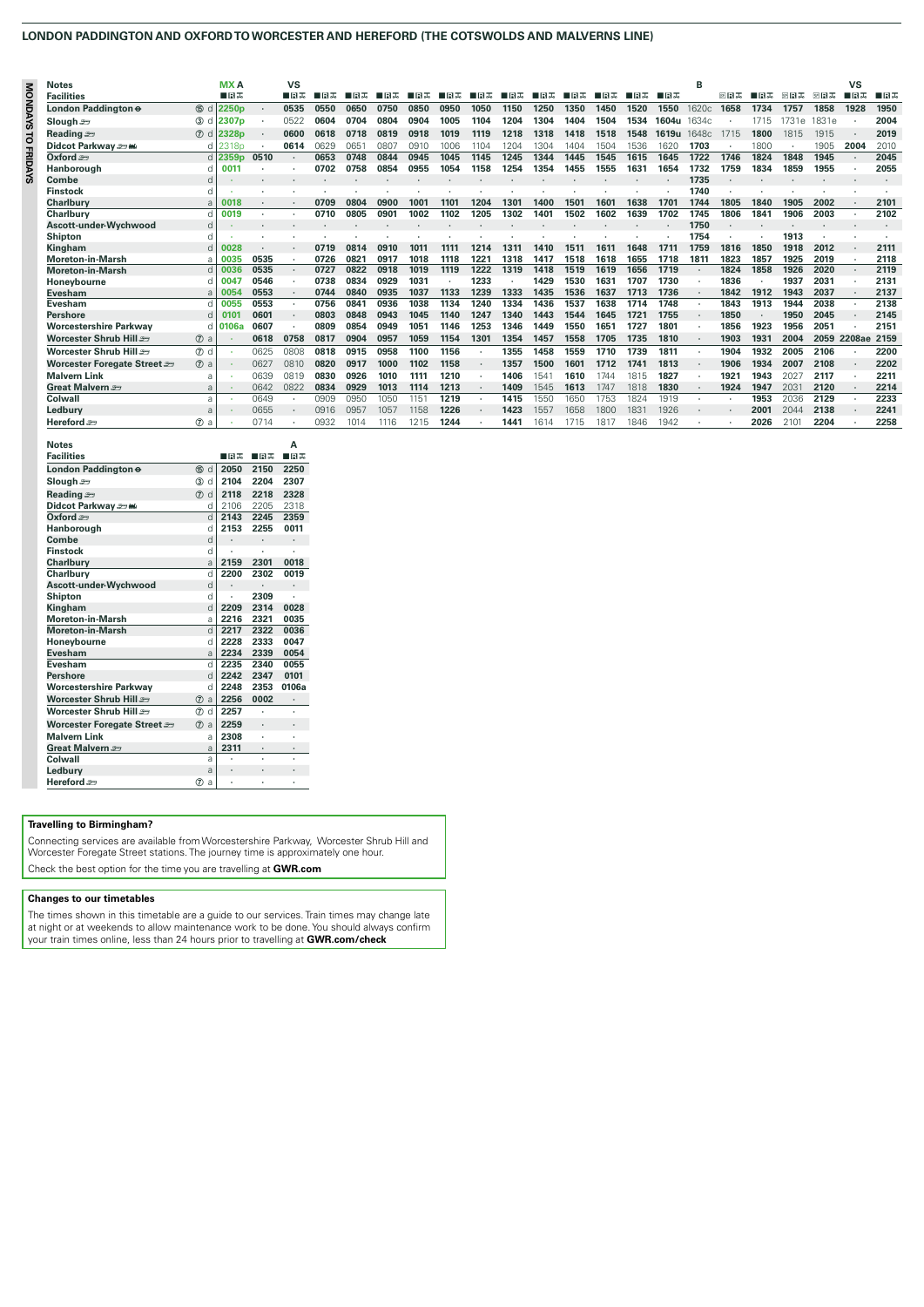# **LONDON PADDINGTON AND OXFORD TO WORCESTER AND HEREFORD (THE COTSWOLDS AND MALVERNS LINE)**

|                | <b>Notes</b>                  |                  | <b>MXA</b>        |         | <b>VS</b> |      |      |      |      |      |      |      |      |      |      |      |               | R     |      |      |       |       | <b>VS</b> |         |
|----------------|-------------------------------|------------------|-------------------|---------|-----------|------|------|------|------|------|------|------|------|------|------|------|---------------|-------|------|------|-------|-------|-----------|---------|
|                | <b>Facilities</b>             |                  | ∎в≂               |         | ∎в≂       | ■⊓ਸਲ | ■■■盂 | 口目志  | ■■■基 | ∎B   | 口日志  | ∎।੩ਨ | ∎B   | ∎⊓੩≖ | ■⊓ਕਲ | ▉R₩  | ▉R₩           |       | 卵白素  | ■日志  | 阿良志   | 阿日志   | ■日本       | ⊞ਸ਼ਨ    |
| <b>MONDAYS</b> | London Paddington e           | 15 d             | 2250 <sub>p</sub> |         | 0535      | 0550 | 0650 | 0750 | 0850 | 0950 | 1050 | 1150 | 1250 | 1350 | 1450 | 1520 | 1550          | 1620c | 1658 | 1734 | 1757  | 1858  | 1928      | 1950    |
|                | Slough $\equiv$               | $(3)$ d          | 2307 <sub>p</sub> |         | 0522      | 0604 | 0704 | 0804 | 0904 | 1005 | 1104 | 1204 | 1304 | 1404 | 1504 | 1534 | 1604u         | 1634c |      | 1715 | 1731e | 1831e |           | 2004    |
| ä              | Reading s                     | $(7)$ d          | 2328p             | $\cdot$ | 0600      | 0618 | 0718 | 0819 | 0918 | 1019 | 1119 | 1218 | 1318 | 1418 | 1518 | 1548 | 1619u         | 1648c | 1715 | 1800 | 1815  | 1915  |           | 2019    |
|                | Didcot Parkway som            |                  | 2318 <sub>p</sub> | $\cdot$ | 0614      | 0629 | 065' | 0807 | 0910 | 1006 | 1104 | 1204 | 1304 | 1404 | 1504 | 1536 | 1620          | 1703  |      | 1800 | ٠     | 1905  | 2004      | 2010    |
| <b>FRIDAYS</b> | Oxford $=$                    |                  | 2359 <sub>p</sub> | 0510    |           | 0653 | 0748 | 0844 | 0945 | 1045 | 1145 | 1245 | 1344 | 1445 | 1545 | 1615 | 1645          | 1722  | 1746 | 1824 | 1848  | 1945  | $\cdot$   | 2045    |
|                | Hanborough                    |                  | 001               |         |           | 0702 | 0758 | 0854 | 0955 | 1054 | 1158 | 1254 | 1354 | 1455 | 1555 | 1631 | 1654          | 1732  | 1759 | 1834 | 1859  | 1955  |           | 2055    |
|                | Combe                         |                  |                   |         |           |      |      |      |      |      |      |      |      |      |      |      |               | 1735  |      |      |       |       |           | $\cdot$ |
|                | <b>Finstock</b>               |                  |                   |         |           |      |      |      |      |      |      |      |      |      |      |      |               | 1740  |      |      |       |       |           |         |
|                | <b>Charlbury</b>              |                  | 0018              |         |           | 0709 | 0804 | 0900 | 1001 | 1101 | 1204 | 1301 | 1400 | 150  | 160' | 1638 | 1701          | 1744  | 1805 | 1840 | 1905  | 2002  | $\cdot$   | 2101    |
|                | Charlbury                     |                  | 0019              |         |           | 0710 | 0805 | 0901 | 1002 | 1102 | 1205 | 1302 | 1401 | 1502 | 1602 | 1639 | 1702          | 1745  | 1806 | 1841 | 1906  | 2003  |           | 2102    |
|                | Ascott-under-Wychwood         |                  |                   |         |           |      |      |      |      |      |      |      |      |      |      |      |               | 1750  |      |      |       |       |           | $\cdot$ |
|                | Shipton                       |                  |                   |         |           |      |      |      |      |      |      |      |      |      |      |      |               | 1754  |      |      | 1913  |       |           |         |
|                | Kingham                       |                  | 0028              |         |           | 0719 | 081  | 0910 | 1011 | 1111 | 1214 | 131  | 1410 | 151  | 161  | 1648 | $171^{\circ}$ | 1759  | 1816 | 1850 | 1918  | 2012  |           | 2111    |
|                | <b>Moreton-in-Marsh</b>       |                  | 0035              | 0535    |           | 0726 | 082' | 0917 | 1018 | 1118 | 122' | 1318 | 1417 | 1518 | 1618 | 1655 | 1718          | 1811  | 1823 | 1857 | 1925  | 2019  |           | 2118    |
|                | <b>Moreton-in-Marsh</b>       |                  | 0036              | 0535    |           | 0727 | 0822 | 0918 | 1019 | 1119 | 1222 | 1319 | 1418 | 1519 | 1619 | 1656 | 1719          |       | 1824 | 1858 | 1926  | 2020  | $\cdot$   | 2119    |
|                | Honevbourne                   |                  | 0047              | 0546    |           | 0738 | 0834 | 0929 | 1031 |      | 1233 |      | 1429 | 1530 | 1631 | 1707 | 1730          |       | 1836 |      | 1937  | 2031  |           | 2131    |
|                | <b>Evesham</b>                |                  | 0054              | 0553    |           | 0744 | 0840 | 0935 | 1037 | 1133 | 1239 | 1333 | 1435 | 1536 | 1637 | 1713 | 1736          |       | 1842 | 1912 | 1943  | 2037  |           | 2137    |
|                | <b>Evesham</b>                |                  | 0055              | 0553    |           | 0756 | 084  | 0936 | 1038 | 1134 | 1240 | 1334 | 1436 | 1537 | 1638 | 1714 | 1748          |       | 1843 | 1913 | 1944  | 2038  |           | 2138    |
|                | <b>Pershore</b>               |                  | 0101              | 0601    |           | 0803 | 0848 | 0943 | 1045 | 1140 | 1247 | 1340 | 1443 | 1544 | 1645 | 1721 | 1755          |       | 1850 |      | 1950  | 2045  | $\cdot$   | 2145    |
|                | Worcestershire Parkwav        |                  | 0106a             | 0607    |           | 0809 | 0854 | 0949 | 1051 | 1146 | 1253 | 1346 | 1449 | 1550 | 1651 | 1727 | 1801          |       | 1856 | 1923 | 1956  | 2051  |           | 2151    |
|                | Worcester Shrub Hill          | $(7)$ a          |                   | 0618    | 0758      | 0817 | 0904 | 0957 | 1059 | 1154 | 1301 | 1354 | 1457 | 1558 | 1705 | 1735 | 1810          |       | 1903 | 1931 | 2004  | 2059  | 2208ae    | 2159    |
|                | Worcester Shrub Hill          | $\circledcirc$ d |                   | 0625    | 0808      | 0818 | 0915 | 0958 | 1100 | 1156 |      | 1355 | 1458 | 1559 | 1710 | 1739 | 1811          |       | 1904 | 1932 | 2005  | 2106  |           | 2200    |
|                | Worcester Foregate Street and | $(7)$ a          |                   | 0627    | 0810      | 0820 | 0917 | 1000 | 1102 | 1158 |      | 1357 | 1500 | 1601 | 1712 | 1741 | 1813          |       | 1906 | 1934 | 2007  | 2108  |           | 2202    |
|                | <b>Malvern Link</b>           |                  |                   | 0639    | 0819      | 0830 | 0926 | 1010 | 1111 | 1210 |      | 1406 | 154' | 1610 | 1744 | 1815 | 1827          |       | 1921 | 1943 | 2027  | 2117  |           | 2211    |
|                | Great Malvern $\equiv$        |                  |                   | 0642    | 0822      | 0834 | 0929 | 1013 | 1114 | 1213 |      | 1409 | 1545 | 1613 | 1747 | 1818 | 1830          |       | 1924 | 1947 | 203'  | 2120  |           | 2214    |
|                | Colwall                       | a                |                   | 0649    |           | 0909 | 0950 | 1050 | 1151 | 1219 |      | 1415 | 1550 | 1650 | 1753 | 1824 | 1919          |       |      | 1953 | 2036  | 2129  |           | 2233    |
|                | Ledburv                       |                  |                   | 0655    |           | 0916 | 0957 | 1057 | 1158 | 1226 |      | 1423 | 1557 | 1658 | 1800 | 1831 | 1926          |       |      | 2001 | 2044  | 2138  |           | 2241    |
|                | Hereford =                    | $(D)$ a          |                   | 0714    |           | 0932 | 1014 | 1116 | 1215 | 1244 |      | 1441 | 1614 | 1715 | 1817 | 1846 | 1942          |       |      | 2026 | 210   | 2204  |           | 2258    |

| <b>Notes</b>                  |                   |                      |       | Α                    |
|-------------------------------|-------------------|----------------------|-------|----------------------|
| <b>Facilities</b>             |                   | ∎⊓ਸਨ                 | ∎⊓ਸ਼ਨ | ■日素                  |
| London Paddington e           | (15)<br>d         | 2050                 | 2150  | 2250                 |
| Slough $\equiv$               | ③<br>d            | 2104                 | 2204  | 2307                 |
| Reading s                     | $\circledD$<br>d  | 2118                 | 2218  | 2328                 |
| Didcot Parkway = ww           | d                 | 2106                 | 2205  | 2318                 |
| $TextOrd \rightarrow$         | $\mathsf{d}$      | 2143                 | 2245  | 2359                 |
| Hanborough                    | d                 | 2153                 | 2255  | 0011                 |
| Combe                         | d                 | $\ddot{\phantom{0}}$ | ٠     |                      |
| <b>Finstock</b>               | d                 |                      |       |                      |
| <b>Charlbury</b>              | a                 | 2159                 | 2301  | 0018                 |
| Charlburv                     | d                 | 2200                 | 2302  | 0019                 |
| Ascott-under-Wychwood         | d                 |                      |       | $\ddot{\phantom{0}}$ |
| Shipton                       | d                 | ï                    | 2309  |                      |
| Kingham                       | d                 | 2209                 | 2314  | 0028                 |
| <b>Moreton-in-Marsh</b>       | a                 | 2216                 | 2321  | 0035                 |
| <b>Moreton-in-Marsh</b>       | $\mathsf{d}$      | 2217                 | 2322  | 0036                 |
| Honeybourne                   | d                 | 2228                 | 2333  | 0047                 |
| Evesham                       | a                 | 2234                 | 2339  | 0054                 |
| Evesham                       | d                 | 2235                 | 2340  | 0055                 |
| Pershore                      | d                 | 2242                 | 2347  | 0101                 |
| <b>Worcestershire Parkway</b> | d                 | 2248                 | 2353  | 0106a                |
| Worcester Shrub Hill          | (7)<br>a          | 2256                 | 0002  | $\ddot{\phantom{0}}$ |
| Worcester Shrub Hill          | $^{\circ}$<br>d   | 2257                 |       |                      |
| Worcester Foregate Street =   | (7)<br>a          | 2259                 | ٠     | ٠                    |
| <b>Malvern Link</b>           | ă                 | 2308                 | ï     |                      |
| Great Malvern                 | a                 | 2311                 | ٠     | $\ddot{\phantom{0}}$ |
| Colwall                       | a                 |                      | ٠     |                      |
| Ledbury                       | a                 | $\ddot{\phantom{0}}$ |       |                      |
| Hereford =                    | $^\circledR$<br>a |                      |       |                      |

# **Travelling to Birmingham?**

Connecting services are available from Worcestershire Parkway, Worcester Shrub Hill and Worcester Foregate Street stations. The journey time is approximately one hour. Check the best option for the time you are travelling at **GWR.com**

## **Changes to our timetables**

The times shown in this timetable are a guide to our services. Train times may change late<br>at night or at weekends to allow maintenance work to be done. You should always confirm<br>your train times online, less than 24 hours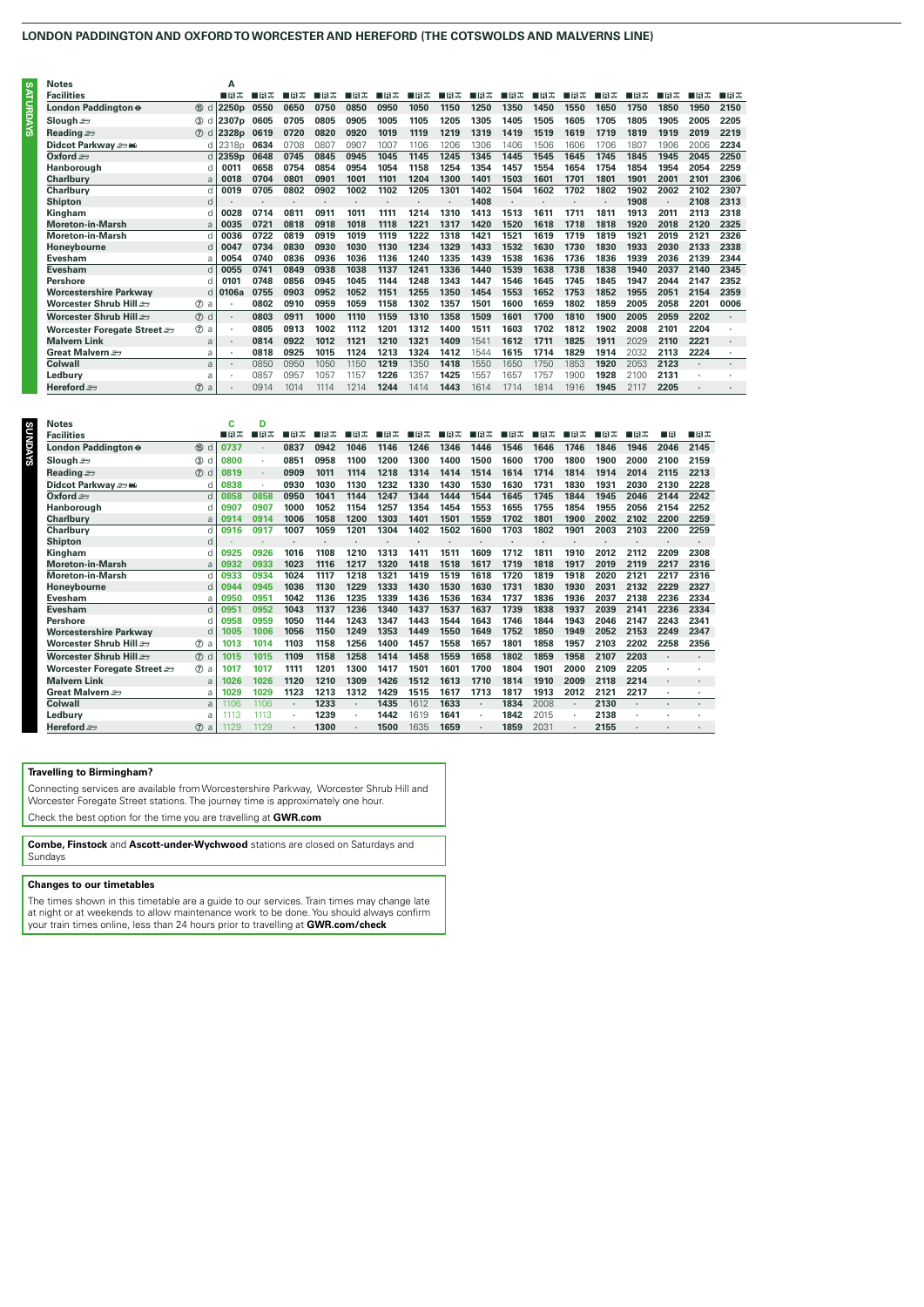# **LONDON PADDINGTON AND OXFORD TO WORCESTER AND HEREFORD (THE COTSWOLDS AND MALVERNS LINE)**

| <b>Notes</b><br>m             |                     | Α                 |      |      |      |      |      |      |      |      |      |      |       |      |      |      |      |      |
|-------------------------------|---------------------|-------------------|------|------|------|------|------|------|------|------|------|------|-------|------|------|------|------|------|
| <b>Facilities</b>             |                     | ∎⊓ਸਨ              | ∎⊓ੜ  | ⊞⊓ਸਨ | ■日本  | ⊞⊓ੜ  | 口日志  | ■日本  | ■日志  | ■日本  | 口日志  | ■日本  | ⊟ਸ਼ਿਲ | ■■□  | 口日志  | ■日本  | ■⊓ਕਲ | ■日本  |
| London Paddington e<br>⋾      | 15 d                | 2250 <sub>p</sub> | 0550 | 0650 | 0750 | 0850 | 0950 | 1050 | 1150 | 1250 | 1350 | 1450 | 1550  | 1650 | 1750 | 1850 | 1950 | 2150 |
| Slough $\equiv$               | (3)                 | 2307 <sub>p</sub> | 0605 | 0705 | 0805 | 0905 | 1005 | 1105 | 1205 | 1305 | 1405 | 1505 | 1605  | 1705 | 1805 | 1905 | 2005 | 2205 |
| ທີ<br>Reading                 | (7)<br>d            | 2328 <sub>p</sub> | 0619 | 0720 | 0820 | 0920 | 1019 | 1119 | 1219 | 1319 | 1419 | 1519 | 1619  | 1719 | 1819 | 1919 | 2019 | 2219 |
| Didcot Parkway som            |                     | 2318 <sub>p</sub> | 0634 | 0708 | 0807 | 0907 | 1007 | 1106 | 1206 | 1306 | 1406 | 1506 | 1606  | 1706 | 1807 | 1906 | 2006 | 2234 |
| Oxford $\equiv$               |                     | 2359 <sub>p</sub> | 0648 | 0745 | 0845 | 0945 | 1045 | 1145 | 1245 | 1345 | 1445 | 1545 | 1645  | 1745 | 1845 | 1945 | 2045 | 2250 |
| Hanborough                    |                     | 0011              | 0658 | 0754 | 0854 | 0954 | 1054 | 1158 | 1254 | 1354 | 1457 | 1554 | 1654  | 1754 | 1854 | 1954 | 2054 | 2259 |
| <b>Charlburv</b>              | a                   | 0018              | 0704 | 0801 | 0901 | 1001 | 1101 | 1204 | 1300 | 1401 | 1503 | 1601 | 1701  | 1801 | 1901 | 2001 | 2101 | 2306 |
| <b>Charlburv</b>              |                     | 0019              | 0705 | 0802 | 0902 | 1002 | 1102 | 1205 | 1301 | 1402 | 1504 | 1602 | 1702  | 1802 | 1902 | 2002 | 2102 | 2307 |
| <b>Shipton</b>                | d                   |                   |      |      |      |      |      |      |      | 1408 |      |      |       |      | 1908 |      | 2108 | 2313 |
| Kingham                       | d                   | 0028              | 0714 | 0811 | 0911 | 1011 | 1111 | 1214 | 1310 | 1413 | 1513 | 1611 | 1711  | 1811 | 1913 | 2011 | 2113 | 2318 |
| <b>Moreton-in-Marsh</b>       | a                   | 0035              | 0721 | 0818 | 0918 | 1018 | 1118 | 1221 | 1317 | 1420 | 1520 | 1618 | 1718  | 1818 | 1920 | 2018 | 2120 | 2325 |
| <b>Moreton-in-Marsh</b>       |                     | 0036              | 0722 | 0819 | 0919 | 1019 | 1119 | 1222 | 1318 | 1421 | 1521 | 1619 | 1719  | 1819 | 1921 | 2019 | 2121 | 2326 |
| Honeybourne                   |                     | 0047              | 0734 | 0830 | 0930 | 1030 | 1130 | 1234 | 1329 | 1433 | 1532 | 1630 | 1730  | 1830 | 1933 | 2030 | 2133 | 2338 |
| Evesham                       | a                   | 0054              | 0740 | 0836 | 0936 | 1036 | 1136 | 1240 | 1335 | 1439 | 1538 | 1636 | 1736  | 1836 | 1939 | 2036 | 2139 | 2344 |
| Evesham                       |                     | 0055              | 0741 | 0849 | 0938 | 1038 | 1137 | 1241 | 1336 | 1440 | 1539 | 1638 | 1738  | 1838 | 1940 | 2037 | 2140 | 2345 |
| Pershore                      |                     | 0101              | 0748 | 0856 | 0945 | 1045 | 1144 | 1248 | 1343 | 1447 | 1546 | 1645 | 1745  | 1845 | 1947 | 2044 | 2147 | 2352 |
| <b>Worcestershire Parkway</b> | d.                  | 0106a             | 0755 | 0903 | 0952 | 1052 | 1151 | 1255 | 1350 | 1454 | 1553 | 1652 | 1753  | 1852 | 1955 | 2051 | 2154 | 2359 |
| Worcester Shrub Hill          | $\circledcirc$<br>a |                   | 0802 | 0910 | 0959 | 1059 | 1158 | 1302 | 1357 | 1501 | 1600 | 1659 | 1802  | 1859 | 2005 | 2058 | 2201 | 0006 |
| Worcester Shrub Hill          | $\circledcirc$ d    | ٠                 | 0803 | 0911 | 1000 | 1110 | 1159 | 1310 | 1358 | 1509 | 1601 | 1700 | 1810  | 1900 | 2005 | 2059 | 2202 |      |
| Worcester Foregate Street =   | $\circledcirc$ a    |                   | 0805 | 0913 | 1002 | 1112 | 1201 | 1312 | 1400 | 1511 | 1603 | 1702 | 1812  | 1902 | 2008 | 2101 | 2204 |      |
| <b>Malvern Link</b>           | a                   |                   | 0814 | 0922 | 1012 | 1121 | 1210 | 1321 | 1409 | 1541 | 1612 | 1711 | 1825  | 1911 | 2029 | 2110 | 2221 |      |
| Great Malvern                 | ă                   | ٠                 | 0818 | 0925 | 1015 | 1124 | 1213 | 1324 | 1412 | 1544 | 1615 | 1714 | 1829  | 1914 | 2032 | 2113 | 2224 |      |
| Colwall                       | $\overline{a}$      | ٠                 | 0850 | 0950 | 105C | 1150 | 1219 | 1350 | 1418 | 1550 | 1650 | 1750 | 1853  | 1920 | 2053 | 2123 |      |      |
| Ledburv                       | a                   |                   | 0857 | 0957 | 1057 | 1157 | 1226 | 1357 | 1425 | 1557 | 1657 | 1757 | 1900  | 1928 | 2100 | 2131 |      |      |
| Hereford so                   | (7)<br>a            | ٠                 | 0914 | 1014 | 1114 | 1214 | 1244 | 1414 | 1443 | 1614 | 1714 | 1814 | 1916  | 1945 | 2117 | 2205 |      |      |

| <b>Notes</b><br>s             |                               | c    | D    |      |      |      |      |      |      |         |      |      |      |      |      |      |      |
|-------------------------------|-------------------------------|------|------|------|------|------|------|------|------|---------|------|------|------|------|------|------|------|
| <b>Facilities</b>             |                               | ∎⊓ਸਨ | ⊞⊓ਸਨ | ⊞ਸ਼ਨ | ∎в≖  | ∎в≖  | ⊞ਸ਼ਨ | ■日本  | ■日本  | ■日本     | ⊟⊓ਕਲ | ■日本  | ■日本  | ∎⊟ਨ  | 口目志  | - IR | ∎в≖  |
| U<br>London Paddington e      | 15 d                          | 0737 |      | 0837 | 0942 | 1046 | 1146 | 1246 | 1346 | 1446    | 1546 | 1646 | 1746 | 1846 | 1946 | 2046 | 2145 |
| Slough $\equiv$               | (3)<br>- Cl                   | 0800 | ×    | 0851 | 0958 | 1100 | 1200 | 1300 | 1400 | 1500    | 1600 | 1700 | 1800 | 1900 | 2000 | 2100 | 2159 |
| Reading set                   | $(7)$ d                       | 0819 | ٠    | 0909 | 1011 | 1114 | 1218 | 1314 | 1414 | 1514    | 1614 | 1714 | 1814 | 1914 | 2014 | 2115 | 2213 |
| Didcot Parkway sow            | d                             | 0838 | ×    | 0930 | 1030 | 1130 | 1232 | 1330 | 1430 | 1530    | 1630 | 1731 | 1830 | 1931 | 2030 | 2130 | 2228 |
| Oxford $=$                    | d                             | 0858 | 0858 | 0950 | 1041 | 1144 | 1247 | 1344 | 1444 | 1544    | 1645 | 1745 | 1844 | 1945 | 2046 | 2144 | 2242 |
| Hanborough                    | d                             | 0907 | 0907 | 1000 | 1052 | 1154 | 1257 | 1354 | 1454 | 1553    | 1655 | 1755 | 1854 | 1955 | 2056 | 2154 | 2252 |
| <b>Charlbury</b>              | a                             | 0914 | 0914 | 1006 | 1058 | 1200 | 1303 | 1401 | 1501 | 1559    | 1702 | 1801 | 1900 | 2002 | 2102 | 2200 | 2259 |
| <b>Charlbury</b>              | d                             | 0916 | 0917 | 1007 | 1059 | 1201 | 1304 | 1402 | 1502 | 1600    | 1703 | 1802 | 1901 | 2003 | 2103 | 2200 | 2259 |
| Shipton                       | d                             |      | ٠    |      |      |      |      |      |      |         |      |      |      |      |      |      |      |
| Kingham                       | d                             | 0925 | 0926 | 1016 | 1108 | 1210 | 1313 | 1411 | 1511 | 1609    | 1712 | 1811 | 1910 | 2012 | 2112 | 2209 | 2308 |
| <b>Moreton-in-Marsh</b>       | a                             | 0932 | 0933 | 1023 | 1116 | 1217 | 1320 | 1418 | 1518 | 1617    | 1719 | 1818 | 1917 | 2019 | 2119 | 2217 | 2316 |
| <b>Moreton-in-Marsh</b>       | H                             | 0933 | 0934 | 1024 | 1117 | 1218 | 1321 | 1419 | 1519 | 1618    | 1720 | 1819 | 1918 | 2020 | 2121 | 2217 | 2316 |
| Honeybourne                   | d                             | 0944 | 0945 | 1036 | 1130 | 1229 | 1333 | 1430 | 1530 | 1630    | 1731 | 1830 | 1930 | 2031 | 2132 | 2229 | 2327 |
| Evesham                       | a                             | 0950 | 0951 | 1042 | 1136 | 1235 | 1339 | 1436 | 1536 | 1634    | 1737 | 1836 | 1936 | 2037 | 2138 | 2236 | 2334 |
| Evesham                       | d                             | 0951 | 0952 | 1043 | 1137 | 1236 | 1340 | 1437 | 1537 | 1637    | 1739 | 1838 | 1937 | 2039 | 2141 | 2236 | 2334 |
| Pershore                      | d                             | 0958 | 0959 | 1050 | 1144 | 1243 | 1347 | 1443 | 1544 | 1643    | 1746 | 1844 | 1943 | 2046 | 2147 | 2243 | 2341 |
| <b>Worcestershire Parkway</b> | d                             | 1005 | 1006 | 1056 | 1150 | 1249 | 1353 | 1449 | 1550 | 1649    | 1752 | 1850 | 1949 | 2052 | 2153 | 2249 | 2347 |
| Worcester Shrub Hill.         | $^{\circ}$<br>$\mathbf{a}$    | 1013 | 1014 | 1103 | 1158 | 1256 | 1400 | 1457 | 1558 | 1657    | 1801 | 1858 | 1957 | 2103 | 2202 | 2258 | 2356 |
| Worcester Shrub Hill          | $\circledcirc$ d              | 1015 | 1015 | 1109 | 1158 | 1258 | 1414 | 1458 | 1559 | 1658    | 1802 | 1859 | 1958 | 2107 | 2203 |      |      |
| Worcester Foregate Street     | $(D)$ a                       | 1017 | 1017 | 1111 | 1201 | 1300 | 1417 | 1501 | 1601 | 1700    | 1804 | 1901 | 2000 | 2109 | 2205 | ٠    |      |
| <b>Malvern Link</b>           | a                             | 1026 | 1026 | 1120 | 1210 | 1309 | 1426 | 1512 | 1613 | 1710    | 1814 | 1910 | 2009 | 2118 | 2214 | ٠    |      |
| Great Malvern                 | a                             | 1029 | 1029 | 1123 | 1213 | 1312 | 1429 | 1515 | 1617 | 1713    | 1817 | 1913 | 2012 | 2121 | 2217 | ٠    |      |
| Colwall                       | a                             | 1106 | 1106 |      | 1233 |      | 1435 | 1612 | 1633 | $\cdot$ | 1834 | 2008 |      | 2130 |      |      |      |
| Ledburv                       | a                             | 1113 | 1113 |      | 1239 |      | 1442 | 1619 | 1641 | ٠       | 1842 | 2015 |      | 2138 |      |      |      |
| Hereford s                    | $\circledD$<br>$\overline{a}$ | 1129 | 1129 |      | 1300 |      | 1500 | 1635 | 1659 |         | 1859 | 2031 |      | 2155 |      |      |      |
|                               |                               |      |      |      |      |      |      |      |      |         |      |      |      |      |      |      |      |

# **Travelling to Birmingham?**

Connecting services are available from Worcestershire Parkway, Worcester Shrub Hill and Worcester Foregate Street stations. The journey time is approximately one hour. Check the best option for the time you are travelling at **GWR.com**

**Combe, Finstock** and **Ascott-under-Wychwood** stations are closed on Saturdays and Sundays

# **Changes to our timetables**

The times shown in this timetable are a guide to our services. Train times may change late at night or at weekends to allow maintenance work to be done. You should always confirm your train times online, less than 24 hours prior to travelling at **GWR.com/check**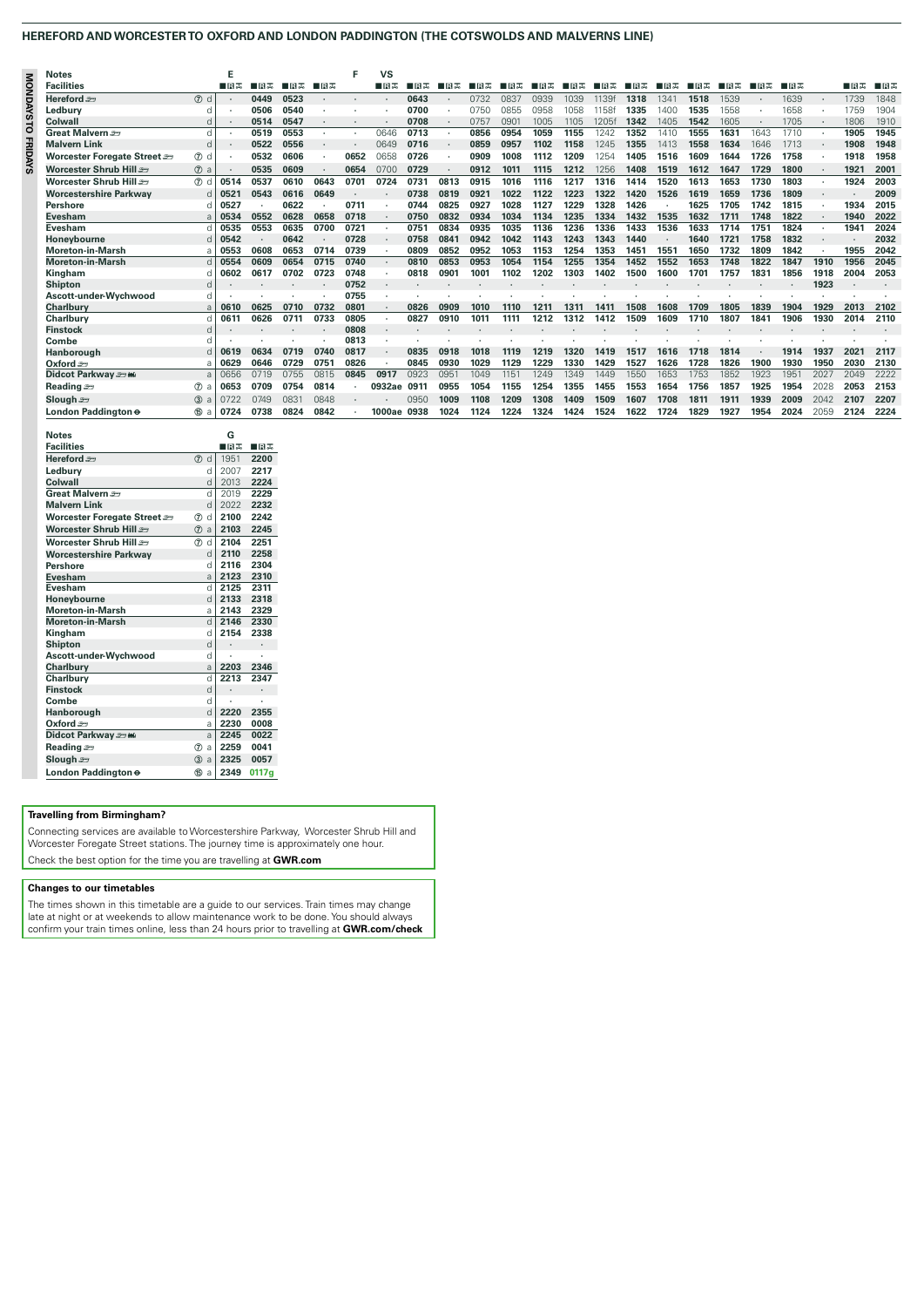# **HEREFORD AND WORCESTER TO OXFORD AND LONDON PADDINGTON (THE COTSWOLDS AND MALVERNS LINE)**

| $\leq$         | <b>Notes</b>                    |                  |      |         |      |      | Е    | VS     |      |      |      |      |      |      |             |      |      |      |      |      |      |      |         |      |
|----------------|---------------------------------|------------------|------|---------|------|------|------|--------|------|------|------|------|------|------|-------------|------|------|------|------|------|------|------|---------|------|
|                | <b>Facilities</b>               |                  | ∎в≖  | ∎B      | ■日本  | ∎в≖  |      | ∎⊓ਸਨ   | ∎в≖  | 口目黒  | ∎⊓в≖ | ⊞⊓ਸਲ | ∎⊓ੜ  | ਸਥਿਲ | 日志<br>ш     | ਸਥਿਲ | 旧志   | 日日志  | ∎в≂  | 口日志  | ⊟⊟≖  |      | ∎⊓ਸਨ    | ■日志  |
| OUSANGNO       | Hereford se                     | $(7)$ d          |      | 0449    | 0523 |      |      |        | 0643 |      | 0732 | 0837 | 0939 | 1039 | 1139f       | 1318 | 1341 | 1518 | 1539 |      | 1639 |      | 1739    | 1848 |
|                | Ledbury                         | n                |      | 0506    | 0540 |      |      |        | 0700 |      | 0750 | 0855 | 0958 | 1058 | <b>158f</b> | 1335 | 1400 | 1535 | 1558 |      | 1658 |      | 1759    | 1904 |
|                | Colwall                         |                  |      | 0514    | 0547 |      |      |        | 0708 |      | 0757 | 0901 | 1005 | 1105 | 1205f       | 1342 | 1405 | 1542 | 1605 |      | 1705 |      | 1806    | 1910 |
|                | Great Malvern                   | d                |      | 0519    | 0553 |      |      | 0646   | 0713 |      | 0856 | 0954 | 1059 | 1155 | 1242        | 1352 | 1410 | 1555 | 1631 | 1643 | 1710 |      | 1905    | 1945 |
|                | <b>Malvern Link</b>             |                  |      | 0522    | 0556 |      |      | 0649   | 0716 |      | 0859 | 0957 | 1102 | 1158 | 1245        | 1355 | 1413 | 1558 | 1634 | 1646 | 1713 |      | 1908    | 1948 |
| <b>FRIDAYS</b> | Worcester Foregate Street       | $(7)$ d          |      | 0532    | 0606 | ٠    | 0652 | 0658   | 0726 |      | 0909 | 1008 | 1112 | 1209 | 1254        | 1405 | 1516 | 1609 | 1644 | 1726 | 1758 |      | 1918    | 1958 |
|                | Worcester Shrub Hill            | $\circledcirc$ a |      | 0535    | 0609 |      | 0654 | 0700   | 0729 |      | 0912 | 1011 | 1115 | 1212 | 1256        | 1408 | 1519 | 1612 | 1647 | 1729 | 1800 |      | 1921    | 2001 |
|                | Worcester Shrub Hill <i>s</i> ∋ | $(7)$ d          | 0514 | 0537    | 0610 | 0643 | 0701 | 0724   | 0731 | 0813 | 0915 | 1016 | 1116 | 1217 | 1316        | 1414 | 1520 | 1613 | 1653 | 1730 | 1803 |      | 1924    | 2003 |
|                | <b>Worcestershire Parkway</b>   |                  | 0521 | 0543    | 0616 | 0649 |      |        | 0738 | 0819 | 0921 | 1022 | 1122 | 1223 | 1322        | 1420 | 1526 | 1619 | 1659 | 1736 | 1809 |      | $\cdot$ | 2009 |
|                | <b>Pershore</b>                 |                  | 0527 | ٠       | 0622 |      | 0711 |        | 0744 | 0825 | 0927 | 1028 | 1127 | 1229 | 1328        | 1426 |      | 1625 | 1705 | 1742 | 1815 |      | 1934    | 2015 |
|                | <b>Evesham</b>                  |                  | 0534 | 0552    | 0628 | 0658 | 0718 |        | 0750 | 0832 | 0934 | 1034 | 1134 | 1235 | 1334        | 1432 | 1535 | 1632 | 1711 | 1748 | 1822 |      | 1940    | 2022 |
|                | Evesham                         |                  | 0535 | 0553    | 0635 | 0700 | 0721 |        | 0751 | 0834 | 0935 | 1035 | 1136 | 1236 | 1336        | 1433 | 1536 | 1633 | 1714 | 1751 | 1824 |      | 1941    | 2024 |
|                | Honevbourne                     |                  | 0542 | $\cdot$ | 0642 |      | 0728 |        | 0758 | 0841 | 0942 | 1042 | 1143 | 1243 | 1343        | 1440 |      | 1640 | 1721 | 1758 | 1832 |      |         | 2032 |
|                | <b>Moreton-in-Marsh</b>         | F                | 0553 | 0608    | 0653 | 0714 | 0739 |        | 0809 | 0852 | 0952 | 1053 | 1153 | 1254 | 1353        | 1451 | 1551 | 1650 | 1732 | 1809 | 1842 |      | 1955    | 2042 |
|                | <b>Moreton-in-Marsh</b>         |                  | 0554 | 0609    | 0654 | 0715 | 0740 |        | 0810 | 0853 | 0953 | 1054 | 1154 | 1255 | 1354        | 1452 | 1552 | 1653 | 1748 | 1822 | 1847 | 1910 | 1956    | 2045 |
|                | Kingham                         |                  | 0602 | 0617    | 0702 | 0723 | 0748 |        | 0818 | 0901 | 100' | 1102 | 1202 | 1303 | 1402        | 1500 | 1600 | 1701 | 1757 | 1831 | 1856 | 1918 | 2004    | 2053 |
|                | <b>Shipton</b>                  |                  |      |         |      |      | 0752 |        |      |      |      |      |      |      |             |      |      |      |      |      |      | 1923 |         |      |
|                | Ascott-under-Wychwood           |                  |      |         |      |      | 0755 |        |      |      |      |      |      |      |             |      |      |      |      |      |      |      |         |      |
|                | Charlbury                       | a                | 0610 | 0625    | 0710 | 0732 | 0801 |        | 0826 | 0909 | 1010 | 1110 |      | 131  | 141         | 1508 | 1608 | 1709 | 1805 | 1839 | 1904 | 1929 | 2013    | 2102 |
|                | <b>Charlbury</b>                |                  | 0611 | 0626    | 0711 | 0733 | 0805 |        | 0827 | 0910 | 1011 | 1111 | 1212 | 1312 | 1412        | 1509 | 1609 | 1710 | 1807 | 1841 | 1906 | 1930 | 2014    | 2110 |
|                | <b>Finstock</b>                 | n                |      |         |      |      | 0808 |        |      |      |      |      |      |      |             |      |      |      |      |      |      |      |         |      |
|                | Combe                           |                  |      |         |      |      | 0813 |        |      |      |      |      |      |      |             |      |      |      |      |      |      |      |         |      |
|                | Hanborough                      |                  | 0619 | 0634    | 0719 | 0740 | 0817 |        | 0835 | 0918 | 1018 | 1119 | 1219 | 1320 | 1419        | 1517 | 1616 | 1718 | 1814 |      | 1914 | 1937 | 2021    | 2117 |
|                | Oxford $\equiv$                 |                  | 0629 | 0646    | 0729 | 075  | 0826 |        | 0845 | 0930 | 1029 | 1129 | 1229 | 1330 | 1429        | 1527 | 1626 | 1728 | 1826 | 1900 | 1930 | 1950 | 2030    | 2130 |
|                | Didcot Parkway sawi             |                  | 0656 | 0719    | 0755 | 0815 | 0845 | 0917   | 0923 | 0951 | 1049 | 1151 | 1249 | 1349 | 1449        | 1550 | 1653 | 1753 | 1852 | 1923 | 1951 | 2027 | 2049    | 2222 |
|                | Reading $\equiv$                | $\circledcirc$ a | 0653 | 0709    | 0754 | 0814 |      | 0932ae | 0911 | 0955 | 1054 | 1155 | 1254 | 1355 | 1455        | 1553 | 1654 | 1756 | 1857 | 1925 | 1954 | 2028 | 2053    | 2153 |
|                | Slough ≞∋                       | $3$ a            | 0722 | 0749    | 083  | 0848 |      |        | 0950 | 1009 | 1108 | 1209 | 1308 | 1409 | 1509        | 1607 | 1708 | 1811 | 1911 | 1939 | 2009 | 2042 | 2107    | 2207 |
|                | London Paddington $\Theta$      | <b>66 a</b>      | 0724 | 0738    | 0824 | 0842 |      | 1000ae | 0938 | 1024 | 1124 | 1224 | 1324 | 1424 | 1524        | 1622 | 1724 | 1829 | 1927 | 1954 | 2024 | 2059 | 2124    | 2224 |

| <b>Notes</b>                |                     | G                    |                      |
|-----------------------------|---------------------|----------------------|----------------------|
| <b>Facilities</b>           |                     | ∎в≖                  | ∎⊓ਸਨ                 |
| Hereford $=$                | (7)<br>d            | 1951                 | 2200                 |
| Ledbury                     | q                   | 2007                 | 2217                 |
| Colwall                     | d                   | 2013                 | 2224                 |
| Great Malvern               | d                   | 2019                 | 2229                 |
| <b>Malvern Link</b>         | d                   | 2022                 | 2232                 |
| Worcester Foregate Street = | d<br>$\circled7$    | 2100                 | 2242                 |
| Worcester Shrub Hill        | $\circledcirc$<br>a | 2103                 | 2245                 |
| Worcester Shrub Hill        | $\circledR$<br>d    | 2104                 | 2251                 |
| Worcestershire Parkwav      | d                   | 2110                 | 2258                 |
| Pershore                    | q                   | 2116                 | 2304                 |
| Evesham                     | a                   | 2123                 | 2310                 |
| Evesham                     | d                   | 2125                 | 2311                 |
| Honevbourne                 | d                   | 2133                 | 2318                 |
| Moreton-in-Marsh            | a                   | 2143                 | 2329                 |
| <b>Moreton-in-Marsh</b>     | $\mathsf{d}$        | 2146                 | 2330                 |
| Kingham                     | d                   | 2154                 | 2338                 |
| <b>Shipton</b>              | $\mathsf{d}$        | $\ddot{\phantom{0}}$ |                      |
| Ascott-under-Wychwood       | d                   |                      |                      |
| Charlbury                   | a                   | 2203                 | 2346                 |
| Charlbury                   | d                   | 2213                 | 2347                 |
| <b>Finstock</b>             | $\mathsf{d}$        | ٠                    | $\ddot{\phantom{0}}$ |
| Combe                       | d                   |                      |                      |
| Hanborough                  | d                   | 2220                 | 2355                 |
| Oxford $\equiv$             | a                   | 2230                 | 0008                 |
| Didcot Parkway saw          | a                   | 2245                 | 0022                 |
| Reading =                   | $\circled7$<br>a    | 2259                 | 0041                 |
| Slough $\equiv$             | (3)<br>a            | 2325                 | 0057                 |
|                             |                     |                      |                      |

## **Travelling from Birmingham?**

Connecting services are available to Worcestershire Parkway, Worcester Shrub Hill and Worcester Foregate Street stations. The journey time is approximately one hour. Check the best option for the time you are travelling at **GWR.com**

## **Changes to our timetables**

The times shown in this timetable are a guide to our services. Train times may change late at night or at weekends to allow maintenance work to be done. You should always confirm your train times online, less than 24 hours prior to travelling at **GWR.com/check**